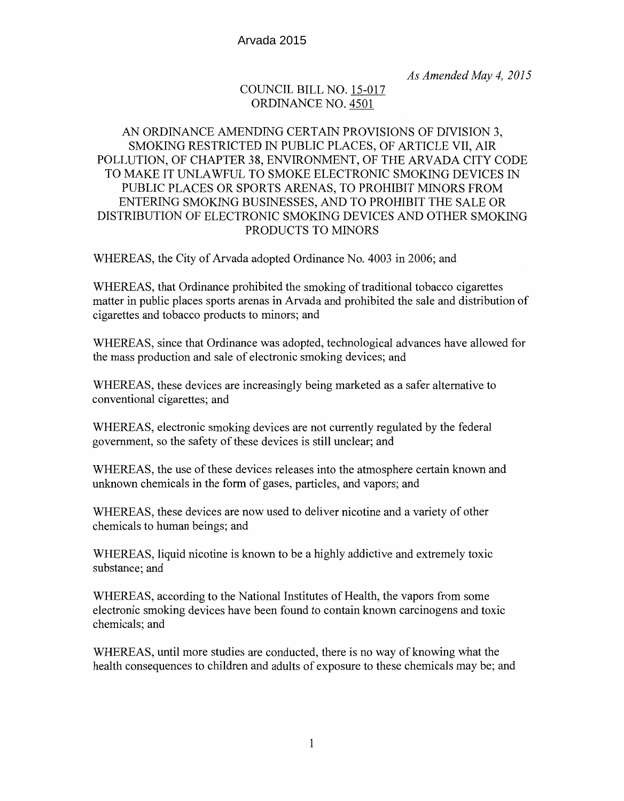*As Amended May 4, 2015* 

# COUNCIL BILL NO. 15-017 ORDINANCE NO. 4501

# AN ORDINANCE AMENDING CERTAIN PROVISIONS OF DIVISION 3, SMOKING RESTRICTED IN PUBLIC PLACES, OF ARTICLE VII, AIR POLLUTION, OF CHAPTER 38, ENVIRONMENT, OF THE ARVADA CITY CODE TO MAKE IT UNLAWFUL TO SMOKE ELECTRONIC SMOKING DEVICES IN PUBLIC PLACES OR SPORTS ARENAS, TO PROHIBIT MINORS FROM ENTERING SMOKING BUSINESSES, AND TO PROHIBIT THE SALE OR DISTRIBUTION OF ELECTRONIC SMOKING DEVICES AND OTHER SMOKING PRODUCTS TO MINORS

WHEREAS, the City of Arvada adopted Ordinance No. 4003 in 2006; and

WHEREAS, that Ordinance prohibited the smoking of traditional tobacco cigarettes matter in public places sports arenas in Arvada and prohibited the sale and distribution of cigarettes and tobacco products to minors; and

WHEREAS, since that Ordinance was adopted, technological advances have allowed for the mass production and sale of electronic smoking devices; and

WHEREAS, these devices are increasingly being marketed as a safer alternative to conventional cigarettes; and

WHEREAS, electronic smoking devices are not currently regulated by the federal government, so the safety of these devices is still unclear; and

WHEREAS, the use of these devices releases into the atmosphere certain known and unknown chemicals in the form of gases, particles, and vapors; and

WHEREAS, these devices are now used to deliver nicotine and a variety of other chemicals to human beings; and

WHEREAS, liquid nicotine is known to be a highly addictive and extremely toxic substance; and

WHEREAS, according to the National Institutes of Health, the vapors from some electronic smoking devices have been found to contain known carcinogens and toxic chemicals; and

WHEREAS, until more studies are conducted, there is no way of knowing what the health consequences to children and adults of exposure to these chemicals may be; and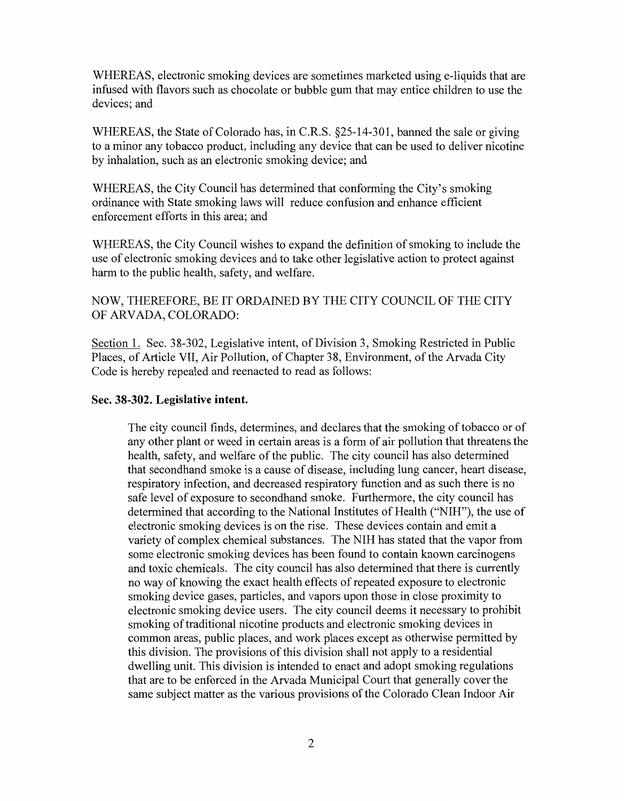WHEREAS, electronic smoking devices are sometimes marketed using e-liquids that are infused with flavors such as chocolate or bubble gum that may entice children to use the devices; and

WHEREAS, the State of Colorado has, in C.R.S. §25-14-301, banned the sale or giving to a minor any tobacco product, including any device that can be used to deliver nicotine by inhalation, such as an electronic smoking device; and

WHEREAS, the City Council has determined that conforming the City's smoking ordinance with State smoking laws will reduce confusion and enhance efficient enforcement efforts in this area; and

WHEREAS, the City Council wishes to expand the definition of smoking to include the use of electronic smoking devices and to take other legislative action to protect against harm to the public health, safety, and welfare.

NOW, THEREFORE, BE IT ORDAINED BY THE CITY COUNCIL OF THE CITY OF ARV ADA, COLORADO:

Section 1. Sec. 38-302, Legislative intent, of Division 3, Smoking Restricted in Public Places, of Article VII, Air Pollution, of Chapter 38, Environment, of the Arvada City Code is hereby repealed and reenacted to read as follows:

## **Sec. 38-302. Legislative intent.**

The city council finds, determines, and declares that the smoking of tobacco or of any other plant or weed in certain areas is a form of air pollution that threatens the health, safety, and welfare of the public. The city council has also determined that secondhand smoke is a cause of disease, including lung cancer, heart disease, respiratory infection, and decreased respiratory function and as such there is no safe level of exposure to secondhand smoke. Furthermore, the city council has determined that according to the National Institutes of Health ("NIH"), the use of electronic smoking devices is on the rise. These devices contain and emit a variety of complex chemical substances. The NIH has stated that the vapor from some electronic smoking devices has been found to contain known carcinogens and toxic chemicals. The city council has also determined that there is currently no way of knowing the exact health effects of repeated exposure to electronic smoking device gases, particles, and vapors upon those in close proximity to electronic smoking device users. The city council deems it necessary to prohibit smoking of traditional nicotine products and electronic smoking devices in common areas, public places, and work places except as otherwise permitted by this division. The provisions of this division shall not apply to a residential dwelling unit. This division is intended to enact and adopt smoking regulations that are to be enforced in the Arvada Municipal Court that generally cover the same subject matter as the various provisions of the Colorado Clean Indoor Air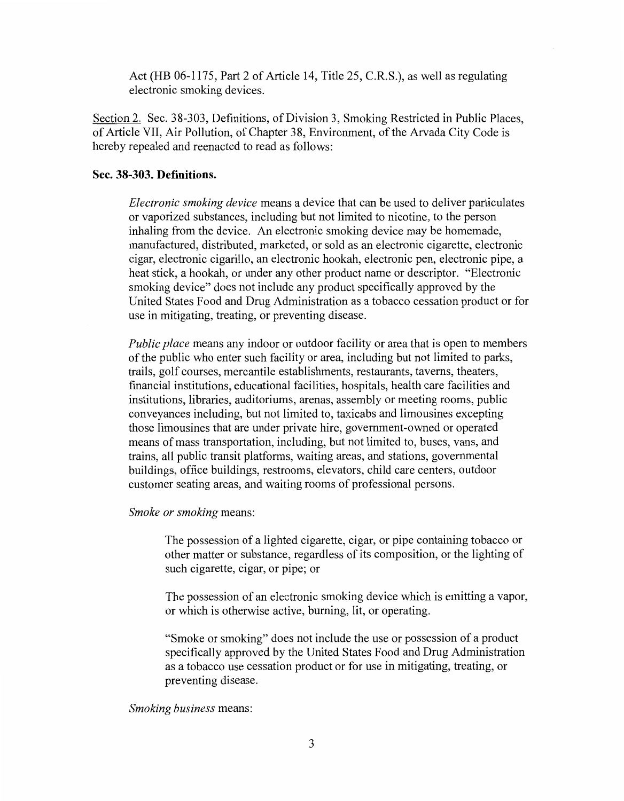Act (HB 06-1175, Part 2 of Article 14, Title 25, C.R.S.), as well as regulating electronic smoking devices.

Section 2. Sec. 38-303, Definitions, of Division 3, Smoking Restricted in Public Places, of Article VII, Air Pollution, of Chapter 38, Environment, of the Arvada City Code is hereby repealed and reenacted to read as follows:

#### **Sec. 38-303. Definitions.**

*Electronic smoking device* means a device that can be used to deliver particulates or vaporized substances, including but not limited to nicotine, to the person inhaling from the device. An electronic smoking device may be homemade, manufactured, distributed, marketed, or sold as an electronic cigarette, electronic cigar, electronic cigarillo, an electronic hookah, electronic pen, electronic pipe, a heat stick, a hookah, or under any other product name or descriptor. "Electronic smoking device" does not include any product specifically approved by the United States Food and Drug Administration as a tobacco cessation product or for use in mitigating, treating, or preventing disease.

*Public place* means any indoor or outdoor facility or area that is open to members of the public who enter such facility or area, including but not limited to parks, trails, golf courses, mercantile establishments, restaurants, taverns, theaters, financial institutions, educational facilities, hospitals, health care facilities and institutions, libraries, auditoriums, arenas, assembly or meeting rooms, public conveyances including, but not limited to, taxicabs and limousines excepting those limousines that are under private hire, government-owned or operated means of mass transportation, including, but not limited to, buses, vans, and trains, all public transit platforms, waiting areas, and stations, governmental buildings, office buildings, restrooms, elevators, child care centers, outdoor customer seating areas, and waiting rooms of professional persons.

### *Smoke or smoking* means:

The possession of a lighted cigarette, cigar, or pipe containing tobacco or other matter or substance, regardless of its composition, or the lighting of such cigarette, cigar, or pipe; or

The possession of an electronic smoking device which is emitting a vapor, or which is otherwise active, burning, lit, or operating.

"Smoke or smoking" does not include the use or possession of a product specifically approved by the United States Food and Drug Administration as a tobacco use cessation product or for use in mitigating, treating, or preventing disease.

#### *Smoking business* means: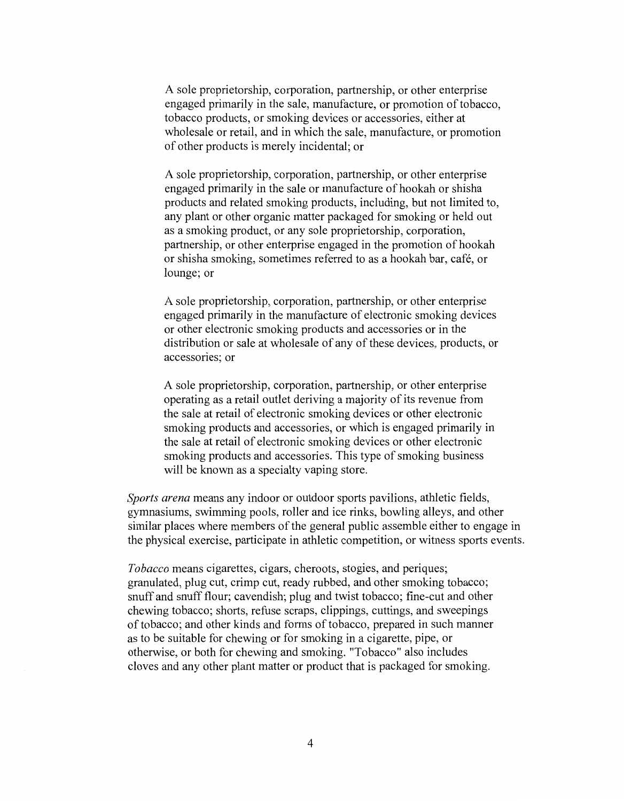A sole proprietorship, corporation, partnership, or other enterprise engaged primarily in the sale, manufacture, or promotion of tobacco, tobacco products, or smoking devices or accessories, either at wholesale or retail, and in which the sale, manufacture, or promotion of other products is merely incidental; or

A sole proprietorship, corporation, partnership, or other enterprise engaged primarily in the sale or manufacture of hookah or shisha products and related smoking products, including, but not limited to, any plant or other organic matter packaged for smoking or held out as a smoking product, or any sole proprietorship, corporation, partnership, or other enterprise engaged in the promotion of hookah or shisha smoking, sometimes referred to as a hookah bar, cafe, or lounge; or

A sole proprietorship, corporation, partnership, or other enterprise engaged primarily in the manufacture of electronic smoking devices or other electronic smoking products and accessories or in the distribution or sale at wholesale of any of these devices, products, or accessories; or

A sole proprietorship, corporation, partnership, or other enterprise operating as a retail outlet deriving a majority of its revenue from the sale at retail of electronic smoking devices or other electronic smoking products and accessories, or which is engaged primarily in the sale at retail of electronic smoking devices or other electronic smoking products and accessories. This type of smoking business will be known as a specialty vaping store.

*Sports arena* means any indoor or outdoor sports pavilions, athletic fields, gymnasiums, swimming pools, roller and ice rinks, bowling alleys, and other similar places where members of the general public assemble either to engage in the physical exercise, participate in athletic competition, or witness sports events.

*Tobacco* means cigarettes, cigars, cheroots, stogies, and periques; granulated, plug cut, crimp cut, ready rubbed, and other smoking tobacco; snuff and snuff flour; cavendish; plug and twist tobacco; fine-cut and other chewing tobacco; shorts, refuse scraps, clippings, cuttings, and sweepings of tobacco; and other kinds and forms of tobacco, prepared in such manner as to be suitable for chewing or for smoking in a cigarette, pipe, or otherwise, or both for chewing and smoking. "Tobacco" also includes cloves and any other plant matter or product that is packaged for smoking.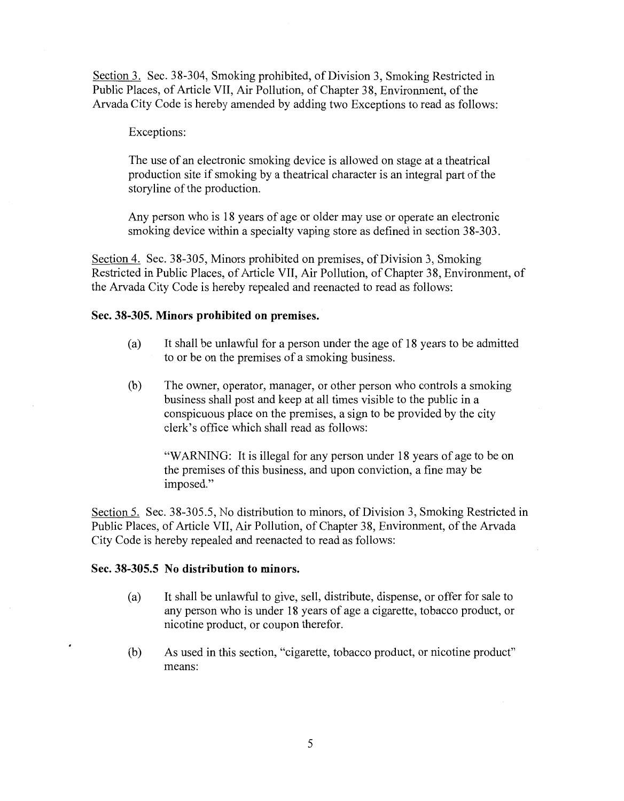Section 3. Sec. 38-304, Smoking prohibited, of Division 3, Smoking Restricted in Public Places, of Article VII, Air Pollution, of Chapter 38, Environment, of the Arvada City Code is hereby amended by adding two Exceptions to read as follows:

## Exceptions:

The use of an electronic smoking device is allowed on stage at a theatrical production site if smoking by a theatrical character is an integral part of the storyline of the production.

Any person who is 18 years of age or older may use or operate an electronic smoking device within a specialty vaping store as defined in section 38-303.

Section 4. Sec. 38-305, Minors prohibited on premises, of Division 3, Smoking Restricted in Public Places, of Article VII, Air Pollution, of Chapter 38, Environment, of the Arvada City Code is hereby repealed and reenacted to read as follows:

### **Sec. 38-305. Minors prohibited on premises.**

- (a) It shall be unlawful for a person under the age of 18 years to be admitted to or be on the premises of a smoking business.
- (b) The owner, operator, manager, or other person who controls a smoking business shall post and keep at all times visible to the public in a conspicuous place on the premises, a sign to be provided by the city clerk's office which shall read as follows:

"WARNING: It is illegal for any person under 18 years of age to be on the premises of this business, and upon conviction, a fine may be imposed."

Section 5. Sec. 38-305.5, No distribution to minors, of Division 3, Smoking Restricted in Public Places, of Article VII, Air Pollution, of Chapter 38, Environment, of the Arvada City Code is hereby repealed and reenacted to read as follows:

## **Sec. 38-305.5 No distribution to minors.**

- (a) It shall be unlawful to give, sell, distribute, dispense, or offer for sale to any person who is under 18 years of age a cigarette, tobacco product, or nicotine product, or coupon therefor.
- (b) As used in this section, "cigarette, tobacco product, or nicotine product" means: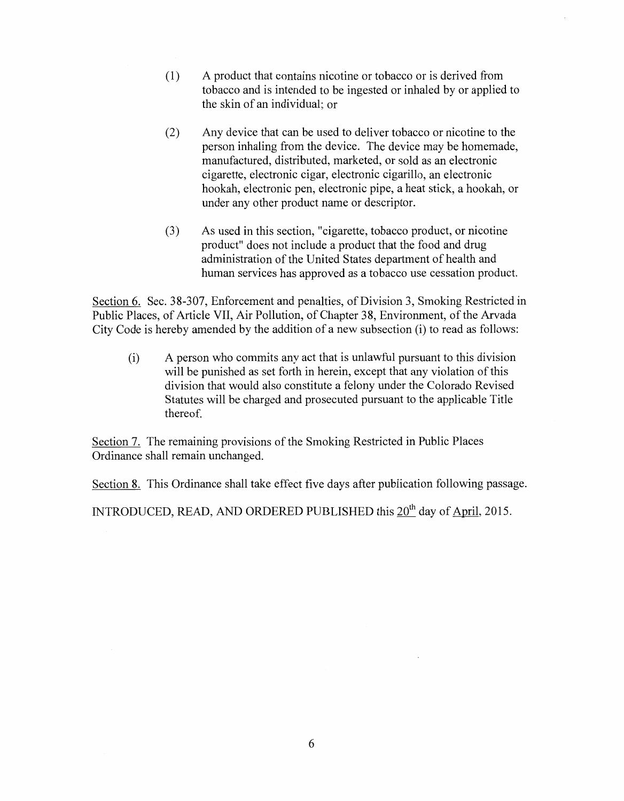- (1) A product that contains nicotine or tobacco or is derived from tobacco and is intended to be ingested or inhaled by or applied to the skin of an individual; or
- (2) Any device that can be used to deliver tobacco or nicotine to the person inhaling from the device. The device may be homemade, manufactured, distributed, marketed, or sold as an electronic cigarette, electronic cigar, electronic cigarillo, an electronic hookah, electronic pen, electronic pipe, a heat stick, a hookah, or under any other product name or descriptor.
- (3) As used in this section, "cigarette, tobacco product, or nicotine product" does not include a product that the food and drug administration of the United States department of health and human services has approved as a tobacco use cessation product.

Section 6. Sec. 38-307, Enforcement and penalties, of Division 3, Smoking Restricted in Public Places, of Article VII, Air Pollution, of Chapter 38, Environment, of the Arvada City Code is hereby amended by the addition of a new subsection (i) to read as follows:

(i) A person who commits any act that is unlawful pursuant to this division will be punished as set forth in herein, except that any violation of this division that would also constitute a felony under the Colorado Revised Statutes will be charged and prosecuted pursuant to the applicable Title thereof.

Section 7. The remaining provisions of the Smoking Restricted in Public Places Ordinance shall remain unchanged.

Section 8. This Ordinance shall take effect five days after publication following passage.

INTRODUCED, READ, AND ORDERED PUBLISHED this  $20<sup>th</sup>$  day of April, 2015.